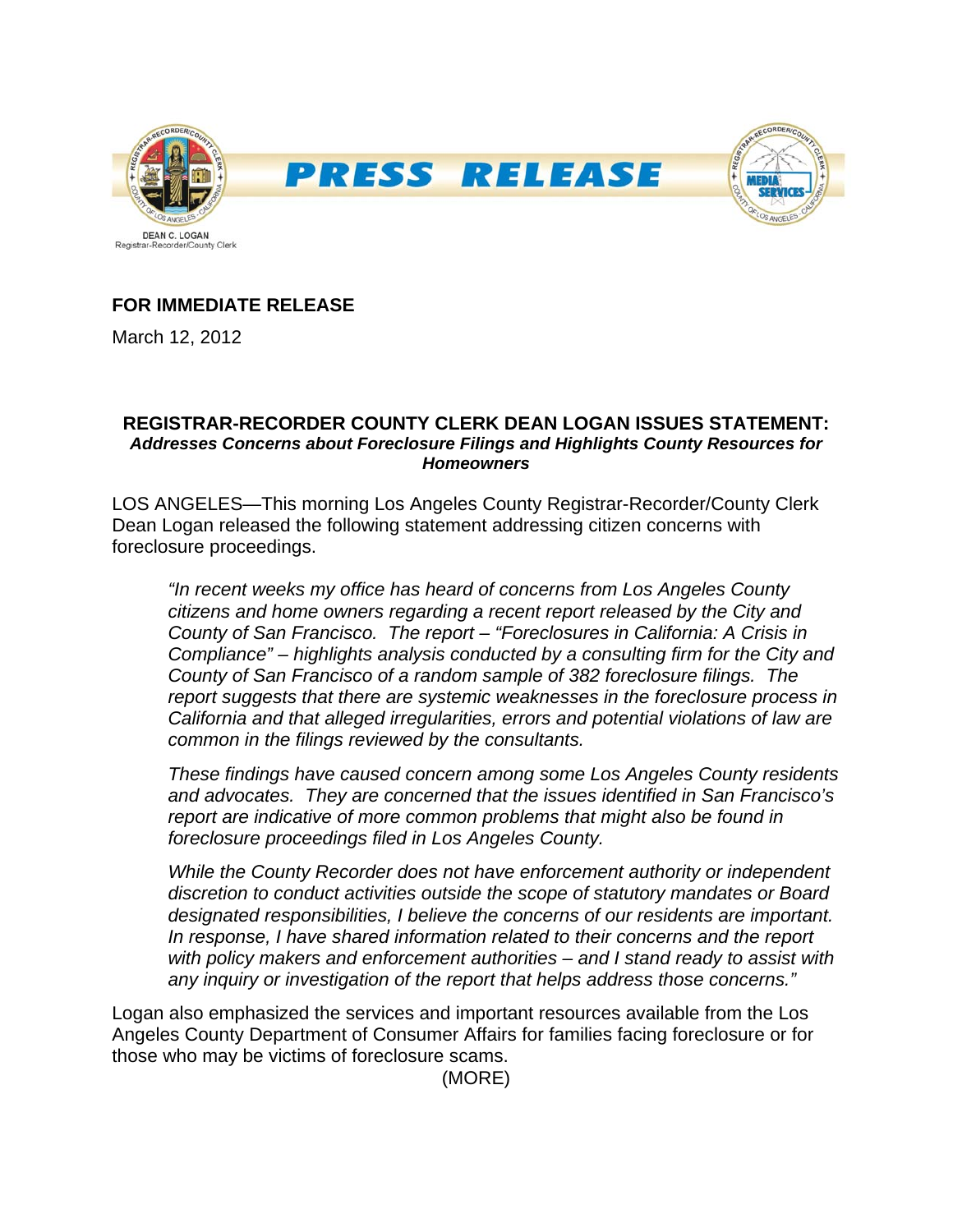

# **FOR IMMEDIATE RELEASE**

March 12, 2012

## **REGISTRAR-RECORDER COUNTY CLERK DEAN LOGAN ISSUES STATEMENT:**  *Addresses Concerns about Foreclosure Filings and Highlights County Resources for Homeowners*

LOS ANGELES—This morning Los Angeles County Registrar-Recorder/County Clerk Dean Logan released the following statement addressing citizen concerns with foreclosure proceedings.

*"In recent weeks my office has heard of concerns from Los Angeles County citizens and home owners regarding a recent report released by the City and County of San Francisco. The report – "Foreclosures in California: A Crisis in Compliance" – highlights analysis conducted by a consulting firm for the City and County of San Francisco of a random sample of 382 foreclosure filings. The report suggests that there are systemic weaknesses in the foreclosure process in California and that alleged irregularities, errors and potential violations of law are common in the filings reviewed by the consultants.* 

*These findings have caused concern among some Los Angeles County residents and advocates. They are concerned that the issues identified in San Francisco's report are indicative of more common problems that might also be found in foreclosure proceedings filed in Los Angeles County.* 

*While the County Recorder does not have enforcement authority or independent discretion to conduct activities outside the scope of statutory mandates or Board designated responsibilities, I believe the concerns of our residents are important. In response, I have shared information related to their concerns and the report with policy makers and enforcement authorities – and I stand ready to assist with any inquiry or investigation of the report that helps address those concerns."*

Logan also emphasized the services and important resources available from the Los Angeles County Department of Consumer Affairs for families facing foreclosure or for those who may be victims of foreclosure scams.

(MORE)